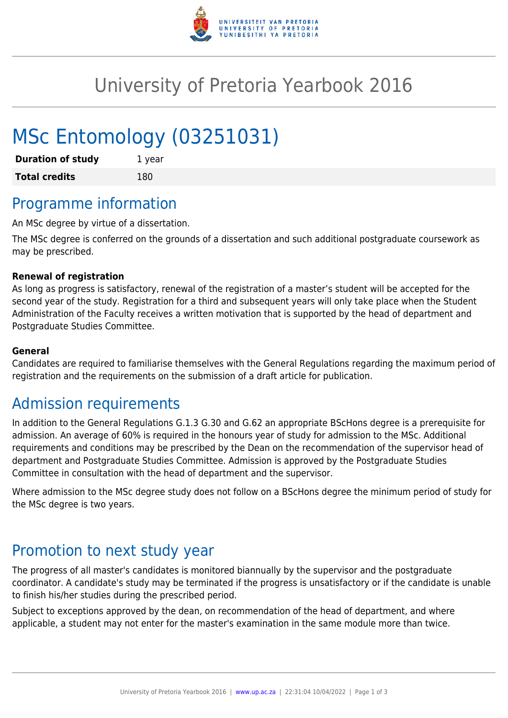

## University of Pretoria Yearbook 2016

# MSc Entomology (03251031)

| <b>Duration of study</b> | 1 year |
|--------------------------|--------|
| <b>Total credits</b>     | 180    |

## Programme information

An MSc degree by virtue of a dissertation.

The MSc degree is conferred on the grounds of a dissertation and such additional postgraduate coursework as may be prescribed.

#### **Renewal of registration**

As long as progress is satisfactory, renewal of the registration of a master's student will be accepted for the second year of the study. Registration for a third and subsequent years will only take place when the Student Administration of the Faculty receives a written motivation that is supported by the head of department and Postgraduate Studies Committee.

#### **General**

Candidates are required to familiarise themselves with the General Regulations regarding the maximum period of registration and the requirements on the submission of a draft article for publication.

### Admission requirements

In addition to the General Regulations G.1.3 G.30 and G.62 an appropriate BScHons degree is a prerequisite for admission. An average of 60% is required in the honours year of study for admission to the MSc. Additional requirements and conditions may be prescribed by the Dean on the recommendation of the supervisor head of department and Postgraduate Studies Committee. Admission is approved by the Postgraduate Studies Committee in consultation with the head of department and the supervisor.

Where admission to the MSc degree study does not follow on a BScHons degree the minimum period of study for the MSc degree is two years.

### Promotion to next study year

The progress of all master's candidates is monitored biannually by the supervisor and the postgraduate coordinator. A candidate's study may be terminated if the progress is unsatisfactory or if the candidate is unable to finish his/her studies during the prescribed period.

Subject to exceptions approved by the dean, on recommendation of the head of department, and where applicable, a student may not enter for the master's examination in the same module more than twice.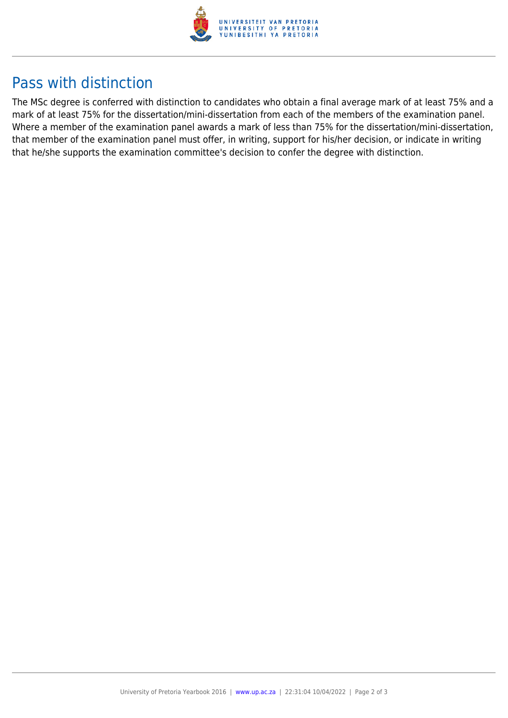

## Pass with distinction

The MSc degree is conferred with distinction to candidates who obtain a final average mark of at least 75% and a mark of at least 75% for the dissertation/mini-dissertation from each of the members of the examination panel. Where a member of the examination panel awards a mark of less than 75% for the dissertation/mini-dissertation, that member of the examination panel must offer, in writing, support for his/her decision, or indicate in writing that he/she supports the examination committee's decision to confer the degree with distinction.